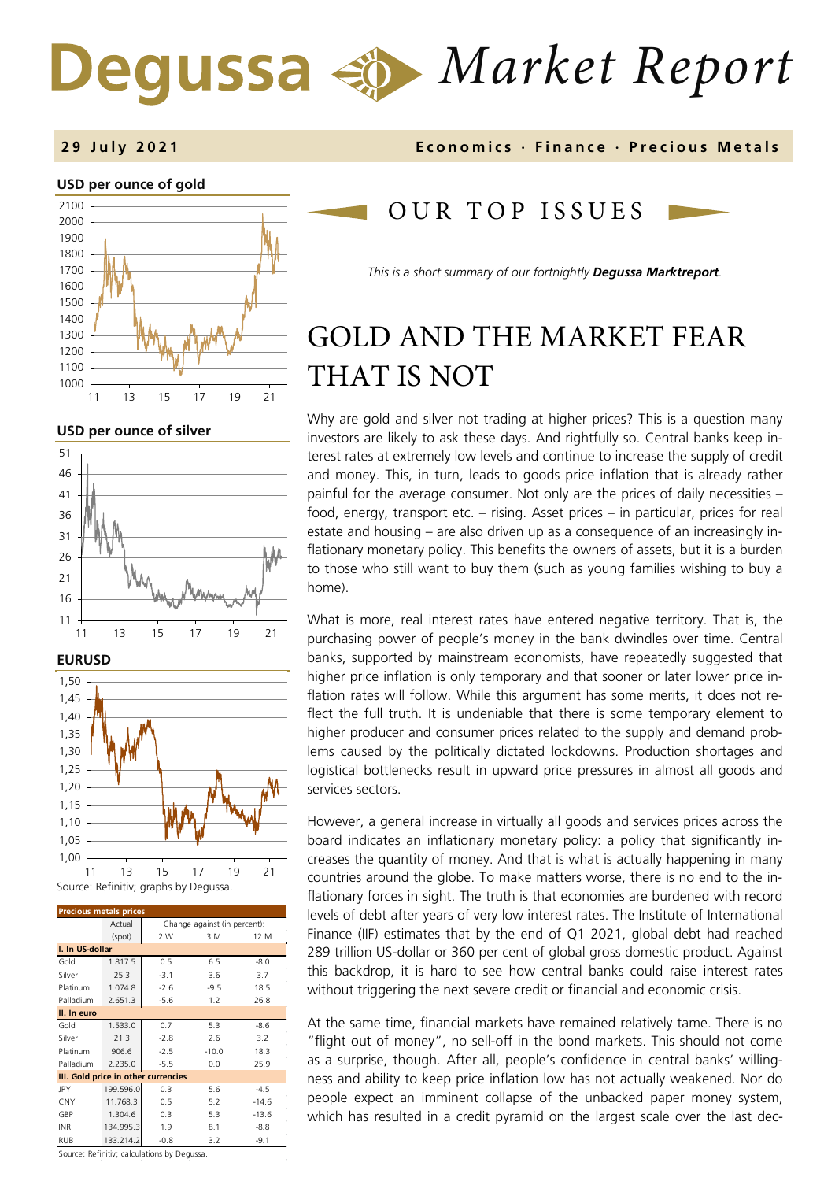# *Market Report*

#### **29 J u l y 202 1 Economics · Finance · Precious M etals**

#### **USD per ounce of gold**



#### **USD per ounce of silver**





| <b>Precious metals prices</b>       |           |                              |         |         |  |  |
|-------------------------------------|-----------|------------------------------|---------|---------|--|--|
|                                     | Actual    | Change against (in percent): |         |         |  |  |
|                                     | (spot)    | 2 W                          | 3 M     | 12 M    |  |  |
| I. In US-dollar                     |           |                              |         |         |  |  |
| Gold                                | 1.817.5   | 0.5                          | 6.5     | $-8.0$  |  |  |
| Silver                              | 25.3      | $-3.1$                       | 3.6     | 3.7     |  |  |
| Platinum                            | 1.074.8   | $-2.6$                       | $-9.5$  | 18.5    |  |  |
| Palladium                           | 2.651.3   | $-5.6$                       | 1.2     | 26.8    |  |  |
| II. In euro                         |           |                              |         |         |  |  |
| Gold                                | 1.533.0   | 0.7                          | 5.3     | -8.6    |  |  |
| Silver                              | 21.3      | $-2.8$                       | 2.6     | 3.2     |  |  |
| Platinum                            | 906.6     | $-2.5$                       | $-10.0$ | 18.3    |  |  |
| Palladium                           | 2.235.0   | $-5.5$                       | 0.0     | 25.9    |  |  |
| III. Gold price in other currencies |           |                              |         |         |  |  |
| JPY                                 | 199.596.0 | 0.3                          | 5.6     | $-4.5$  |  |  |
| CNY                                 | 11.768.3  | 0.5                          | 5.2     | $-14.6$ |  |  |
| GBP                                 | 1.304.6   | 0.3                          | 5.3     | $-13.6$ |  |  |
| <b>INR</b>                          | 134.995.3 | 1.9                          | 8.1     | $-8.8$  |  |  |
| RUB                                 | 133.214.2 | $-0.8$                       | 3.2     | $-9.1$  |  |  |

Source: Refinitiv; calculations by Degussa.

## OUR TOP ISSUE S

*This is a short summary of our fortnightly Degussa Marktreport.* 

# GOLD AND THE MARKET FEAR THAT IS NOT

Why are gold and silver not trading at higher prices? This is a question many investors are likely to ask these days. And rightfully so. Central banks keep interest rates at extremely low levels and continue to increase the supply of credit and money. This, in turn, leads to goods price inflation that is already rather painful for the average consumer. Not only are the prices of daily necessities – food, energy, transport etc. – rising. Asset prices – in particular, prices for real estate and housing – are also driven up as a consequence of an increasingly inflationary monetary policy. This benefits the owners of assets, but it is a burden to those who still want to buy them (such as young families wishing to buy a home).

What is more, real interest rates have entered negative territory. That is, the purchasing power of people's money in the bank dwindles over time. Central banks, supported by mainstream economists, have repeatedly suggested that higher price inflation is only temporary and that sooner or later lower price inflation rates will follow. While this argument has some merits, it does not reflect the full truth. It is undeniable that there is some temporary element to higher producer and consumer prices related to the supply and demand problems caused by the politically dictated lockdowns. Production shortages and logistical bottlenecks result in upward price pressures in almost all goods and services sectors.

However, a general increase in virtually all goods and services prices across the board indicates an inflationary monetary policy: a policy that significantly increases the quantity of money. And that is what is actually happening in many countries around the globe. To make matters worse, there is no end to the inflationary forces in sight. The truth is that economies are burdened with record levels of debt after years of very low interest rates. The Institute of International Finance (IIF) estimates that by the end of Q1 2021, global debt had reached 289 trillion US-dollar or 360 per cent of global gross domestic product. Against this backdrop, it is hard to see how central banks could raise interest rates without triggering the next severe credit or financial and economic crisis.

At the same time, financial markets have remained relatively tame. There is no "flight out of money", no sell-off in the bond markets. This should not come as a surprise, though. After all, people's confidence in central banks' willingness and ability to keep price inflation low has not actually weakened. Nor do people expect an imminent collapse of the unbacked paper money system, which has resulted in a credit pyramid on the largest scale over the last dec-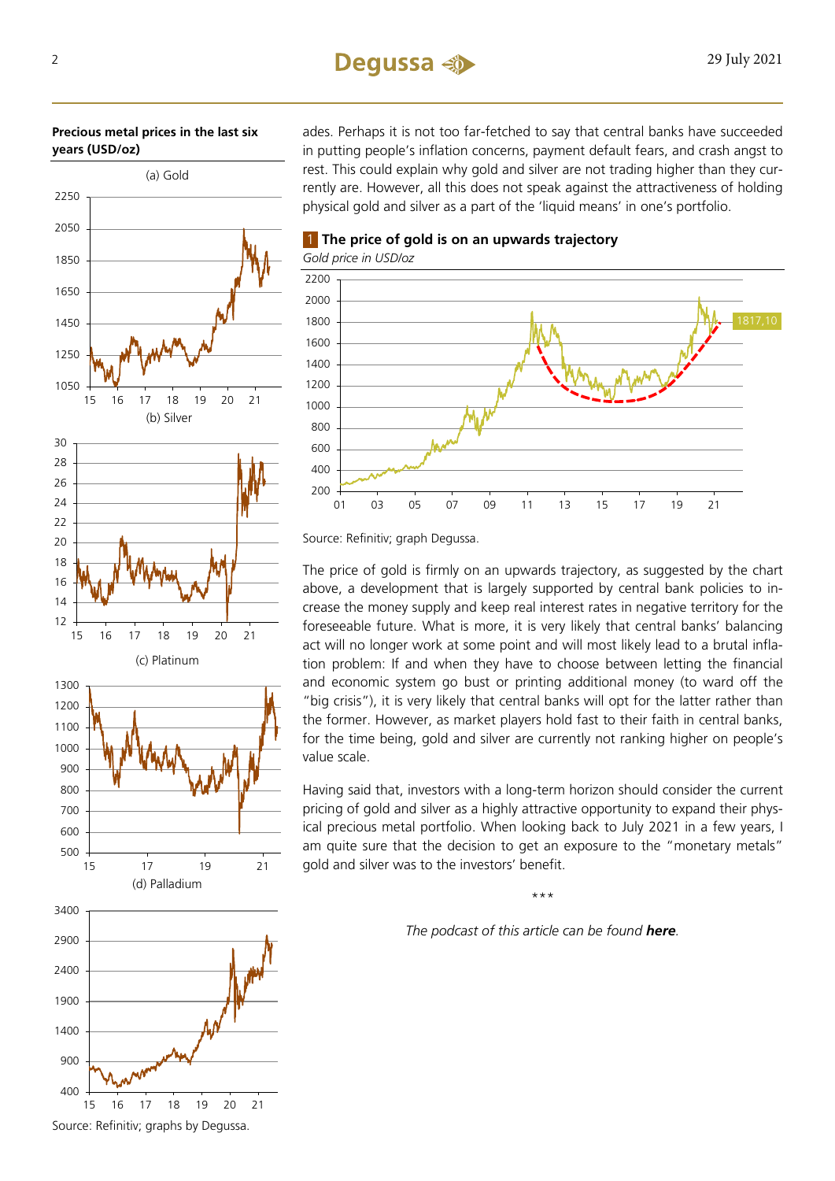#### **Precious metal prices in the last six years (USD/oz)**

# Source: Refinitiv; graphs by Degussa. 16 17 18 19 20 21

(d) Palladium

ades. Perhaps it is not too far-fetched to say that central banks have succeeded in putting people's inflation concerns, payment default fears, and crash angst to rest. This could explain why gold and silver are not trading higher than they currently are. However, all this does not speak against the attractiveness of holding physical gold and silver as a part of the 'liquid means' in one's portfolio.

 **The price of gold is on an upwards trajectory** *Gold price in USD/oz* 



Source: Refinitiv; graph Degussa.

The price of gold is firmly on an upwards trajectory, as suggested by the chart above, a development that is largely supported by central bank policies to increase the money supply and keep real interest rates in negative territory for the foreseeable future. What is more, it is very likely that central banks' balancing act will no longer work at some point and will most likely lead to a brutal inflation problem: If and when they have to choose between letting the financial and economic system go bust or printing additional money (to ward off the "big crisis"), it is very likely that central banks will opt for the latter rather than the former. However, as market players hold fast to their faith in central banks, for the time being, gold and silver are currently not ranking higher on people's value scale.

Having said that, investors with a long-term horizon should consider the current pricing of gold and silver as a highly attractive opportunity to expand their physical precious metal portfolio. When looking back to July 2021 in a few years, I am quite sure that the decision to get an exposure to the "monetary metals" gold and silver was to the investors' benefit.

\*\*\*

*The podcast of this article can be found [here](https://open.spotify.com/show/7orIsEuiKFTSPgpiVKa370).*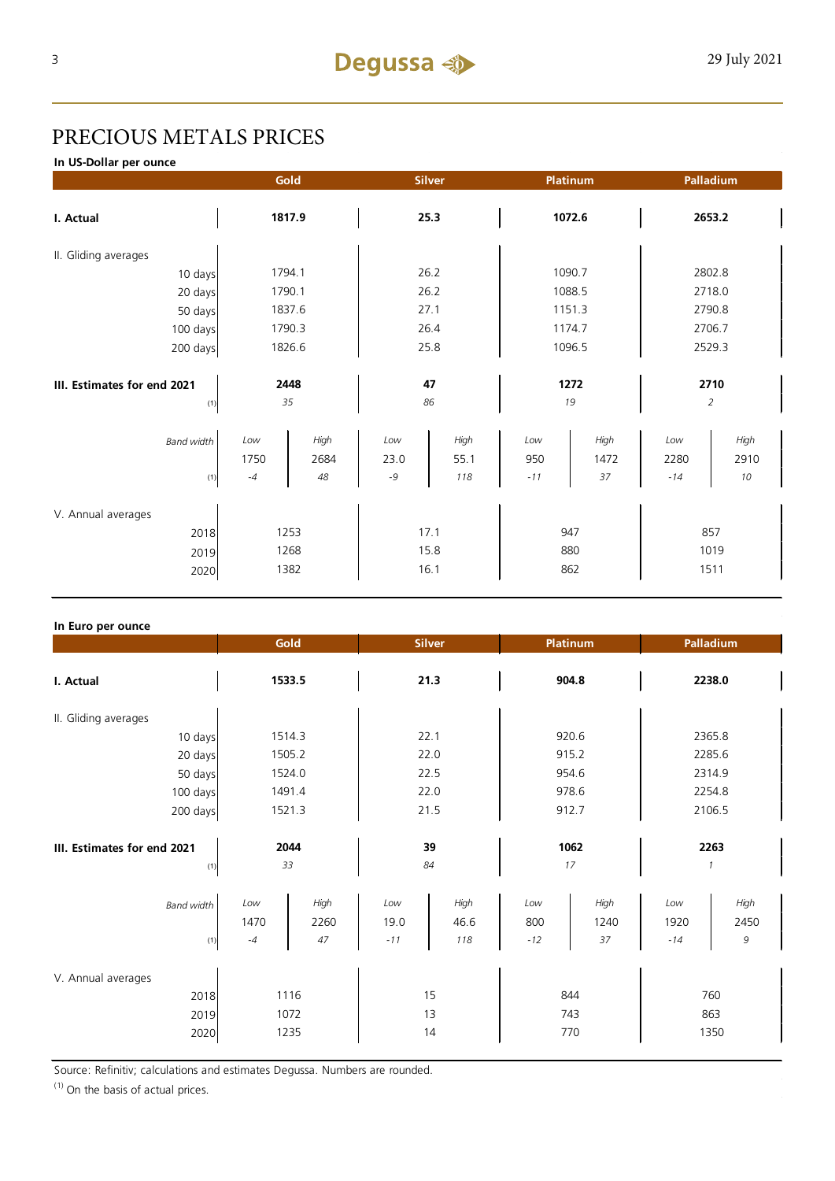# PRECIOUS METALS PRICES

**In US-Dollar per ounce**

|                             | Gold   |        | <b>Silver</b> |      | Platinum |        | Palladium      |        |  |
|-----------------------------|--------|--------|---------------|------|----------|--------|----------------|--------|--|
| I. Actual                   | 1817.9 |        | 25.3          |      | 1072.6   |        | 2653.2         |        |  |
| II. Gliding averages        |        |        |               |      |          |        |                |        |  |
| 10 days                     |        | 1794.1 |               | 26.2 |          | 1090.7 |                | 2802.8 |  |
| 20 days                     |        | 1790.1 |               | 26.2 |          | 1088.5 |                | 2718.0 |  |
| 50 days                     |        | 1837.6 |               | 27.1 |          | 1151.3 |                | 2790.8 |  |
| 100 days                    |        | 1790.3 |               | 26.4 |          | 1174.7 |                | 2706.7 |  |
| 200 days                    | 1826.6 |        | 25.8          |      | 1096.5   |        | 2529.3         |        |  |
|                             |        |        |               |      |          |        |                |        |  |
| III. Estimates for end 2021 | 2448   |        | 47            |      | 1272     |        | 2710           |        |  |
| (1)                         | 35     |        | 86            |      | 19       |        | $\overline{2}$ |        |  |
| <b>Band width</b>           | Low    | High   | Low           | High | Low      | High   | Low            | High   |  |
|                             | 1750   | 2684   | 23.0          | 55.1 | 950      | 1472   | 2280           | 2910   |  |
| $(1)$                       | $-4$   | 48     | $-9$          | 118  | $-11$    | 37     | $-14$          | 10     |  |
|                             |        |        |               |      |          |        |                |        |  |
| V. Annual averages          |        |        |               |      |          |        |                |        |  |
| 2018                        | 1253   |        | 17.1          |      | 947      |        | 857            |        |  |
| 2019                        | 1268   |        | 15.8          |      | 880      |        | 1019           |        |  |
| 2020                        | 1382   |        | 16.1          |      | 862      |        | 1511           |        |  |
|                             |        |        |               |      |          |        |                |        |  |

#### **In Euro per ounce**

|                                            | Gold                 |                    |                      | <b>Silver</b>       |                     | Platinum           |                       | Palladium         |  |
|--------------------------------------------|----------------------|--------------------|----------------------|---------------------|---------------------|--------------------|-----------------------|-------------------|--|
| I. Actual                                  | 1533.5               |                    | 21.3                 |                     | 904.8               |                    | 2238.0                |                   |  |
| II. Gliding averages                       |                      |                    |                      |                     |                     |                    |                       |                   |  |
| 10 days                                    | 1514.3               |                    | 22.1                 |                     | 920.6               |                    | 2365.8                |                   |  |
| 20 days                                    | 1505.2               |                    | 22.0                 |                     | 915.2               |                    | 2285.6                |                   |  |
| 50 days                                    | 1524.0               |                    | 22.5                 |                     | 954.6               |                    | 2314.9                |                   |  |
| 100 days                                   |                      | 1491.4             |                      | 22.0                |                     | 978.6              |                       | 2254.8            |  |
| 200 days                                   | 1521.3               |                    | 21.5                 |                     | 912.7               |                    | 2106.5                |                   |  |
| III. Estimates for end 2021<br>(1)         | 2044<br>33           |                    | 39<br>84             |                     | 1062<br>17          |                    | 2263<br>$\mathcal{I}$ |                   |  |
| <b>Band width</b><br>(1)                   | Low<br>1470<br>$-4$  | High<br>2260<br>47 | Low<br>19.0<br>$-11$ | High<br>46.6<br>118 | Low<br>800<br>$-12$ | High<br>1240<br>37 | Low<br>1920<br>$-14$  | High<br>2450<br>9 |  |
| V. Annual averages<br>2018<br>2019<br>2020 | 1116<br>1072<br>1235 |                    | 15<br>13<br>14       |                     | 844<br>743<br>770   |                    | 760<br>863<br>1350    |                   |  |

Source: Refinitiv; calculations and estimates Degussa. Numbers are rounded.

 $(1)$  On the basis of actual prices.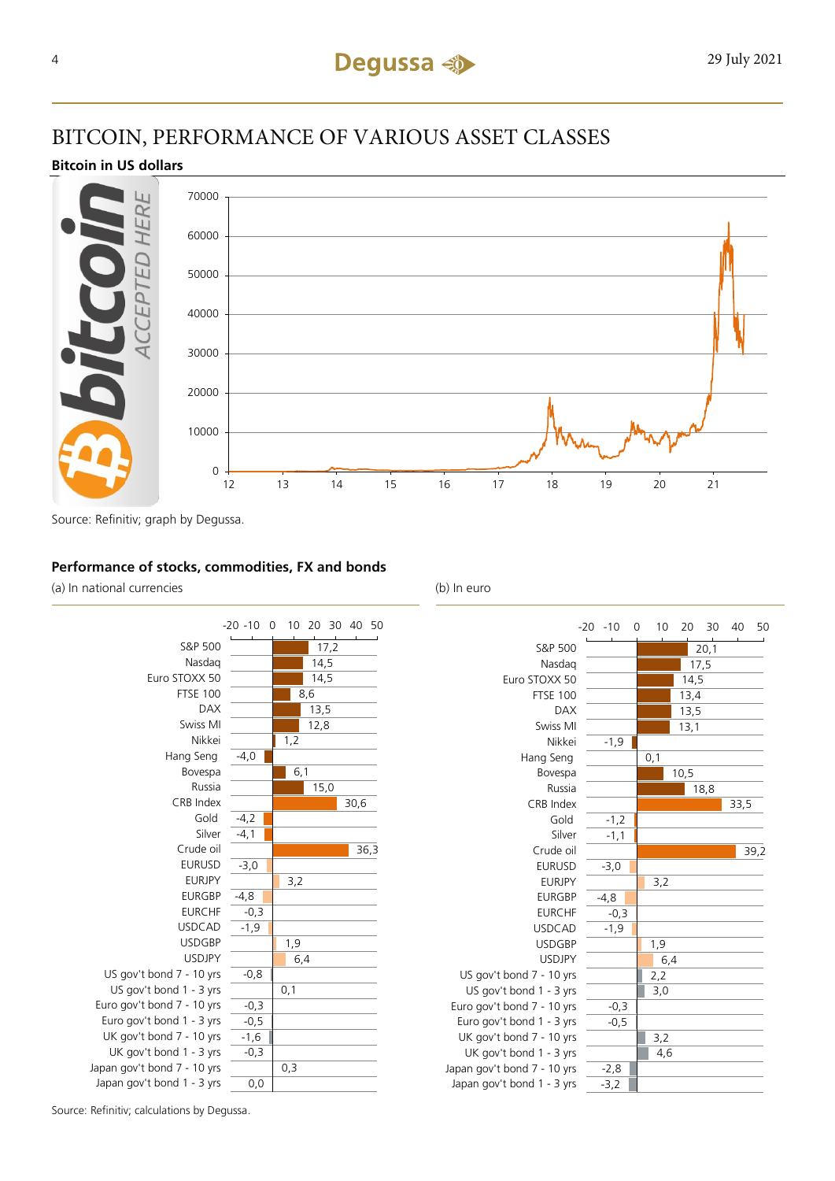## BITCOIN, PERFORMANCE OF VARIOUS ASSET CLASSES

#### **Bitcoin in US dollars**



Source: Refinitiv; graph by Degussa.

#### **Performance of stocks, commodities, FX and bonds**

(a) In national currencies (b) In euro





Source: Refinitiv; calculations by Degussa.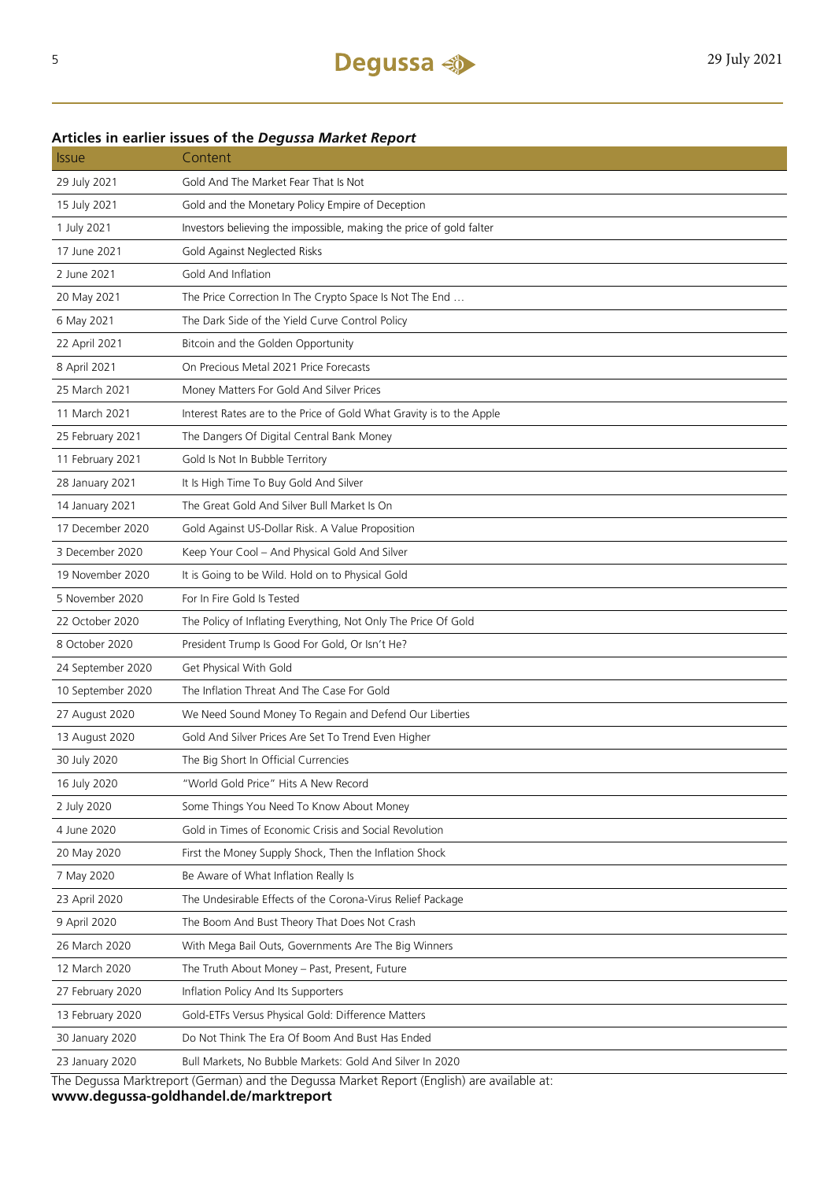#### **Articles in earlier issues of the** *Degussa Market Report*

| <i><b>Issue</b></i> | Content                                                               |
|---------------------|-----------------------------------------------------------------------|
| 29 July 2021        | Gold And The Market Fear That Is Not                                  |
| 15 July 2021        | Gold and the Monetary Policy Empire of Deception                      |
| 1 July 2021         | Investors believing the impossible, making the price of gold falter   |
| 17 June 2021        | Gold Against Neglected Risks                                          |
| 2 June 2021         | Gold And Inflation                                                    |
| 20 May 2021         | The Price Correction In The Crypto Space Is Not The End               |
| 6 May 2021          | The Dark Side of the Yield Curve Control Policy                       |
| 22 April 2021       | Bitcoin and the Golden Opportunity                                    |
| 8 April 2021        | On Precious Metal 2021 Price Forecasts                                |
| 25 March 2021       | Money Matters For Gold And Silver Prices                              |
| 11 March 2021       | Interest Rates are to the Price of Gold What Gravity is to the Apple  |
| 25 February 2021    | The Dangers Of Digital Central Bank Money                             |
| 11 February 2021    | Gold Is Not In Bubble Territory                                       |
| 28 January 2021     | It Is High Time To Buy Gold And Silver                                |
| 14 January 2021     | The Great Gold And Silver Bull Market Is On                           |
| 17 December 2020    | Gold Against US-Dollar Risk. A Value Proposition                      |
| 3 December 2020     | Keep Your Cool - And Physical Gold And Silver                         |
| 19 November 2020    | It is Going to be Wild. Hold on to Physical Gold                      |
| 5 November 2020     | For In Fire Gold Is Tested                                            |
| 22 October 2020     | The Policy of Inflating Everything, Not Only The Price Of Gold        |
| 8 October 2020      | President Trump Is Good For Gold, Or Isn't He?                        |
| 24 September 2020   | Get Physical With Gold                                                |
| 10 September 2020   | The Inflation Threat And The Case For Gold                            |
| 27 August 2020      | We Need Sound Money To Regain and Defend Our Liberties                |
| 13 August 2020      | Gold And Silver Prices Are Set To Trend Even Higher                   |
| 30 July 2020        | The Big Short In Official Currencies                                  |
| 16 July 2020        | "World Gold Price" Hits A New Record                                  |
| 2 July 2020         | Some Things You Need To Know About Money                              |
| 4 June 2020         | Gold in Times of Economic Crisis and Social Revolution                |
| 20 May 2020         | First the Money Supply Shock, Then the Inflation Shock                |
| 7 May 2020          | Be Aware of What Inflation Really Is                                  |
| 23 April 2020       | The Undesirable Effects of the Corona-Virus Relief Package            |
| 9 April 2020        | The Boom And Bust Theory That Does Not Crash                          |
| 26 March 2020       | With Mega Bail Outs, Governments Are The Big Winners                  |
| 12 March 2020       | The Truth About Money - Past, Present, Future                         |
| 27 February 2020    | Inflation Policy And Its Supporters                                   |
| 13 February 2020    | Gold-ETFs Versus Physical Gold: Difference Matters                    |
| 30 January 2020     | Do Not Think The Era Of Boom And Bust Has Ended                       |
| 23 January 2020     | Bull Markets, No Bubble Markets: Gold And Silver In 2020              |
| The <b>Dec</b>      | t (Corman) and the Dequese Market Benert (Fraigh) are<br>+م ماطمانویو |

The Degussa Marktreport (German) and the Degussa Market Report (English) are available at: **www.degussa-goldhandel.de/marktreport**